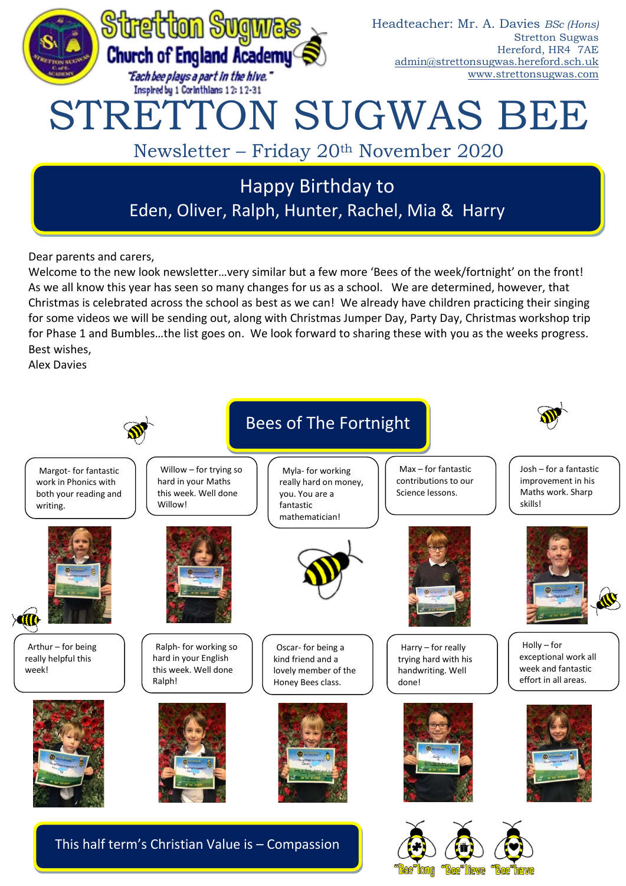